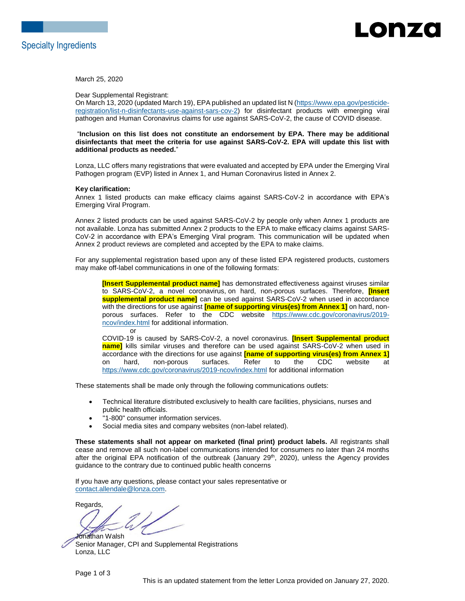

### -onzd

March 25, 2020

Dear Supplemental Registrant:

On March 13, 2020 (updated March 19), EPA published an updated list N [\(https://www.epa.gov/pesticide](https://www.epa.gov/pesticide-registration/list-n-disinfectants-use-against-sars-cov-2)[registration/list-n-disinfectants-use-against-sars-cov-2\)](https://www.epa.gov/pesticide-registration/list-n-disinfectants-use-against-sars-cov-2) for disinfectant products with emerging viral pathogen and Human Coronavirus claims for use against SARS-CoV-2, the cause of COVID disease.

"**Inclusion on this list does not constitute an endorsement by EPA. There may be additional disinfectants that meet the criteria for use against SARS-CoV-2. EPA will update this list with additional products as needed.**"

Lonza, LLC offers many registrations that were evaluated and accepted by EPA under the Emerging Viral Pathogen program (EVP) listed in Annex 1, and Human Coronavirus listed in Annex 2.

#### **Key clarification:**

Annex 1 listed products can make efficacy claims against SARS-CoV-2 in accordance with EPA's Emerging Viral Program.

Annex 2 listed products can be used against SARS-CoV-2 by people only when Annex 1 products are not available. Lonza has submitted Annex 2 products to the EPA to make efficacy claims against SARS-CoV-2 in accordance with EPA's Emerging Viral program. This communication will be updated when Annex 2 product reviews are completed and accepted by the EPA to make claims.

For any supplemental registration based upon any of these listed EPA registered products, customers may make off-label communications in one of the following formats:

**[Insert Supplemental product name]** has demonstrated effectiveness against viruses similar to SARS-CoV-2, a novel coronavirus, on hard, non-porous surfaces. Therefore, **[Insert supplemental product name]** can be used against SARS-CoV-2 when used in accordance with the directions for use against **[name of supporting virus(es) from Annex 1]** on hard, nonporous surfaces. Refer to the CDC website [https://www.cdc.gov/coronavirus/2019](https://www.cdc.gov/coronavirus/2019-ncov/index.html) [ncov/index.html](https://www.cdc.gov/coronavirus/2019-ncov/index.html) for additional information. or

COVID-19 is caused by SARS-CoV-2, a novel coronavirus. **[Insert Supplemental product name]** kills similar viruses and therefore can be used against SARS-CoV-2 when used in accordance with the directions for use against **[name of supporting virus(es) from Annex 1]** on hard, non-porous surfaces. Refer to the CDC website at <https://www.cdc.gov/coronavirus/2019-ncov/index.html> for additional information

These statements shall be made only through the following communications outlets:

- Technical literature distributed exclusively to health care facilities, physicians, nurses and public health officials.
- "1-800" consumer information services.
- Social media sites and company websites (non-label related).

**These statements shall not appear on marketed (final print) product labels.** All registrants shall cease and remove all such non-label communications intended for consumers no later than 24 months after the original EPA notification of the outbreak (January 29<sup>th</sup>, 2020), unless the Agency provides guidance to the contrary due to continued public health concerns

If you have any questions, please contact your sales representative or [contact.allendale@lonza.com.](mailto:contact.allendale@lonza.com)

Regards,

Jonathan Walsh Senior Manager, CPI and Supplemental Registrations Lonza, LLC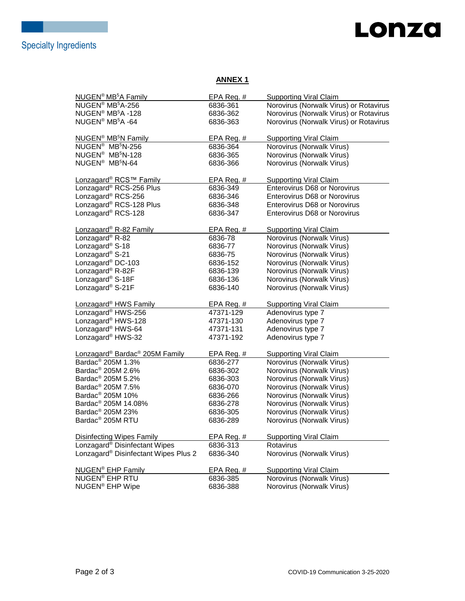# Lonza

### **ANNEX 1**

| <b>NUGEN<sup>®</sup> MB<sup>5</sup>A Family</b>        | EPA Reg. $#$ | <b>Supporting Viral Claim</b>          |
|--------------------------------------------------------|--------------|----------------------------------------|
| NUGEN <sup>®</sup> MB <sup>5</sup> A-256               | 6836-361     | Norovirus (Norwalk Virus) or Rotavirus |
| NUGEN <sup>®</sup> MB <sup>5</sup> A -128              | 6836-362     | Norovirus (Norwalk Virus) or Rotavirus |
| NUGEN <sup>®</sup> MB <sup>5</sup> A -64               | 6836-363     | Norovirus (Norwalk Virus) or Rotavirus |
|                                                        |              |                                        |
| NUGEN <sup>®</sup> MB <sup>5</sup> N Family            | EPA Reg. #   | <b>Supporting Viral Claim</b>          |
| NUGEN <sup>®</sup> MB <sup>5</sup> N-256               | 6836-364     | Norovirus (Norwalk Virus)              |
| NUGEN <sup>®</sup> MB <sup>5</sup> N-128               | 6836-365     | Norovirus (Norwalk Virus)              |
| NUGEN <sup>®</sup> MB <sup>5</sup> N-64                | 6836-366     | Norovirus (Norwalk Virus)              |
|                                                        |              |                                        |
| Lonzagard® RCS™ Family                                 | EPA Reg. #   | <b>Supporting Viral Claim</b>          |
| Lonzagard® RCS-256 Plus                                | 6836-349     | Enterovirus D68 or Norovirus           |
| Lonzagard <sup>®</sup> RCS-256                         | 6836-346     | <b>Enterovirus D68 or Norovirus</b>    |
| Lonzagard <sup>®</sup> RCS-128 Plus                    | 6836-348     | Enterovirus D68 or Norovirus           |
| Lonzagard <sup>®</sup> RCS-128                         | 6836-347     | <b>Enterovirus D68 or Norovirus</b>    |
|                                                        |              |                                        |
| Lonzagard <sup>®</sup> R-82 Family                     | EPA Reg. $#$ | <b>Supporting Viral Claim</b>          |
| Lonzagard <sup>®</sup> R-82                            | 6836-78      | Norovirus (Norwalk Virus)              |
| Lonzagard <sup>®</sup> S-18                            | 6836-77      | Norovirus (Norwalk Virus)              |
| Lonzagard <sup>®</sup> S-21                            | 6836-75      | Norovirus (Norwalk Virus)              |
| Lonzagard <sup>®</sup> DC-103                          | 6836-152     | Norovirus (Norwalk Virus)              |
| Lonzagard <sup>®</sup> R-82F                           | 6836-139     | Norovirus (Norwalk Virus)              |
| Lonzagard <sup>®</sup> S-18F                           | 6836-136     | Norovirus (Norwalk Virus)              |
| Lonzagard <sup>®</sup> S-21F                           | 6836-140     | Norovirus (Norwalk Virus)              |
|                                                        |              |                                        |
| Lonzagard <sup>®</sup> HWS Family                      | EPA Reg. #   | <b>Supporting Viral Claim</b>          |
| Lonzagard <sup>®</sup> HWS-256                         | 47371-129    | Adenovirus type 7                      |
| Lonzagard <sup>®</sup> HWS-128                         | 47371-130    | Adenovirus type 7                      |
| Lonzagard <sup>®</sup> HWS-64                          | 47371-131    | Adenovirus type 7                      |
| Lonzagard <sup>®</sup> HWS-32                          | 47371-192    | Adenovirus type 7                      |
|                                                        |              |                                        |
| Lonzagard <sup>®</sup> Bardac <sup>®</sup> 205M Family | EPA Reg. #   | <b>Supporting Viral Claim</b>          |
| Bardac <sup>®</sup> 205M 1.3%                          | 6836-277     | Norovirus (Norwalk Virus)              |
| Bardac <sup>®</sup> 205M 2.6%                          | 6836-302     | Norovirus (Norwalk Virus)              |
| Bardac <sup>®</sup> 205M 5.2%                          | 6836-303     | Norovirus (Norwalk Virus)              |
| Bardac <sup>®</sup> 205M 7.5%                          | 6836-070     | Norovirus (Norwalk Virus)              |
| Bardac <sup>®</sup> 205M 10%                           | 6836-266     | Norovirus (Norwalk Virus)              |
| Bardac <sup>®</sup> 205M 14.08%                        | 6836-278     | Norovirus (Norwalk Virus)              |
| Bardac <sup>®</sup> 205M 23%                           | 6836-305     | Norovirus (Norwalk Virus)              |
| Bardac <sup>®</sup> 205M RTU                           | 6836-289     | Norovirus (Norwalk Virus)              |
|                                                        |              |                                        |
| <b>Disinfecting Wipes Family</b>                       | EPA Reg. $#$ | <b>Supporting Viral Claim</b>          |
| Lonzagard <sup>®</sup> Disinfectant Wipes              | 6836-313     | Rotavirus                              |
| Lonzagard <sup>®</sup> Disinfectant Wipes Plus 2       | 6836-340     | Norovirus (Norwalk Virus)              |
|                                                        |              |                                        |
| <b>NUGEN<sup>®</sup></b> EHP Family                    | EPA Reg. $#$ | <b>Supporting Viral Claim</b>          |
| <b>NUGEN® EHP RTU</b>                                  | 6836-385     | Norovirus (Norwalk Virus)              |
| NUGEN <sup>®</sup> EHP Wipe                            | 6836-388     | Norovirus (Norwalk Virus)              |
|                                                        |              |                                        |